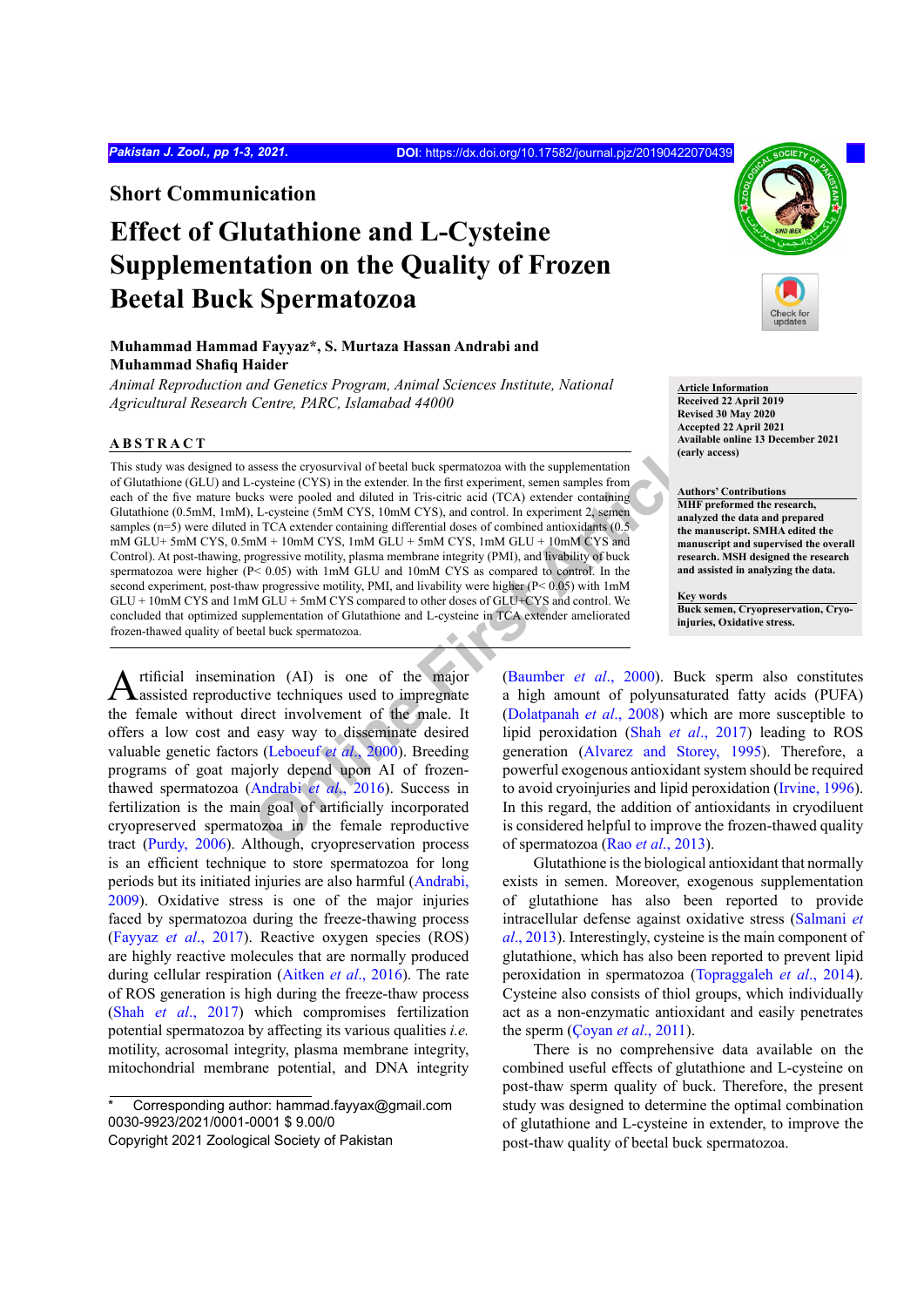**Short Communication**

# **Effect of Glutathione and L-Cysteine Supplementation on the Quality of Frozen Beetal Buck Spermatozoa**

## **Muhammad Hammad Fayyaz\*, S. Murtaza Hassan Andrabi and Muhammad Shafiq Haider**

*Animal Reproduction and Genetics Program, Animal Sciences Institute, National Agricultural Research Centre, PARC, Islamabad 44000*

#### **ABSTRACT**

sesses the cryosurvival of beetal buck spermatozoa with the supplementation<br>-cysteine (CYS) in the extender. In the first experiment, semen samples from<br>-cysteine (CYS) in the extender. In the first experiment, semen sampl This study was designed to assess the cryosurvival of beetal buck spermatozoa with the supplementation of Glutathione (GLU) and L-cysteine (CYS) in the extender. In the first experiment, semen samples from each of the five mature bucks were pooled and diluted in Tris-citric acid (TCA) extender containing Glutathione (0.5mM, 1mM), L-cysteine (5mM CYS, 10mM CYS), and control. In experiment 2, semen samples (n=5) were diluted in TCA extender containing differential doses of combined antioxidants (0.5) mM GLU+ 5mM CYS, 0.5mM + 10mM CYS, 1mM GLU + 5mM CYS, 1mM GLU + 10mM CYS and Control). At post-thawing, progressive motility, plasma membrane integrity (PMI), and livability of buck spermatozoa were higher (P< 0.05) with 1mM GLU and 10mM CYS as compared to control. In the second experiment, post-thaw progressive motility, PMI, and livability were higher (P< 0.05) with 1mM GLU + 10mM CYS and 1mM GLU + 5mM CYS compared to other doses of GLU+CYS and control. We concluded that optimized supplementation of Glutathione and L-cysteine in TCA extender ameliorated frozen-thawed quality of beetal buck spermatozoa.

rtificial insemination (AI) is one of the major assisted reproductive techniques used to impregnate the female without direct involvement of the male. It offers a low cost and easy way to disseminate desired valuable genetic factors (Leboeuf *et al*., 2000). Breeding programs of goat majorly depend upon AI of frozenthawed spermatozoa (Andrabi *et al*., 2016). Success in fertilization is the main goal of artificially incorporated cryopreserved spermatozoa in the female reproductive tract ([Purdy, 2006\)](#page-2-2). Although, cryopreservation process is an efficient technique to store spermatozoa for long periods but its initiated injuries are also harmful ([Andrabi,](#page-2-3) [2009\)](#page-2-3). Oxidative stress is one of the major injuries faced by spermatozoa during the freeze-thawing process [\(Fayyaz](#page-2-4) *et al*., 2017). Reactive oxygen species (ROS) are highly reactive molecules that are normally produced during cellular respiration ([Aitken](#page-2-5) *et al*., 2016). The rate of ROS generation is high during the freeze-thaw process (Shah *et al*[., 2017](#page-2-6)) which compromises fertilization potential spermatozoa by affecting its various qualities *i.e.* motility, acrosomal integrity, plasma membrane integrity, mitochondrial membrane potential, and DNA integrity

Corresponding author: hammad.fayyax@gmail.com 0030-9923/2021/0001-0001 \$ 9.00/0



**Article Information Received 22 April 2019 Revised 30 May 2020 Accepted 22 April 2021 Available online 13 December 2021 (early access)**

**Authors' Contributions MHF preformed the research, analyzed the data and prepared the manuscript. SMHA edited the manuscript and supervised the overall research. MSH designed the research and assisted in analyzing the data.**

**Key words Buck semen, Cryopreservation, Cryoinjuries, Oxidative stress.**

(Baumber *et al*., 2000). Buck sperm also constitutes a high amount of polyunsaturated fatty acids (PUFA) (Dolatpanah *et al*., 2008) which are more susceptible to lipid peroxidation (Shah *et al*., 2017) leading to ROS generation ([Alvarez and Storey, 1995\)](#page-2-9). Therefore, a powerful exogenous antioxidant system should be required to avoid cryoinjuries and lipid peroxidation ([Irvine, 1996](#page-2-10)). In this regard, the addition of antioxidants in cryodiluent is considered helpful to improve the frozen-thawed quality of spermatozoa (Rao *et al*., 2013).

Glutathione is the biological antioxidant that normally exists in semen. Moreover, exogenous supplementation of glutathione has also been reported to provide intracellular defense against oxidative stress ([Salmani](#page-2-12) *et al*[., 2013\)](#page-2-12). Interestingly, cysteine is the main component of glutathione, which has also been reported to prevent lipid peroxidation in spermatozoa [\(Topraggaleh](#page-2-13) *et al*., 2014). Cysteine also consists of thiol groups, which individually act as a non-enzymatic antioxidant and easily penetrates the sperm ([Çoyan](#page-2-14) *et al*., 2011).

There is no comprehensive data available on the combined useful effects of glutathione and L-cysteine on post-thaw sperm quality of buck. Therefore, the present study was designed to determine the optimal combination of glutathione and L-cysteine in extender, to improve the post-thaw quality of beetal buck spermatozoa.

Copyright 2021 Zoological Society of Pakistan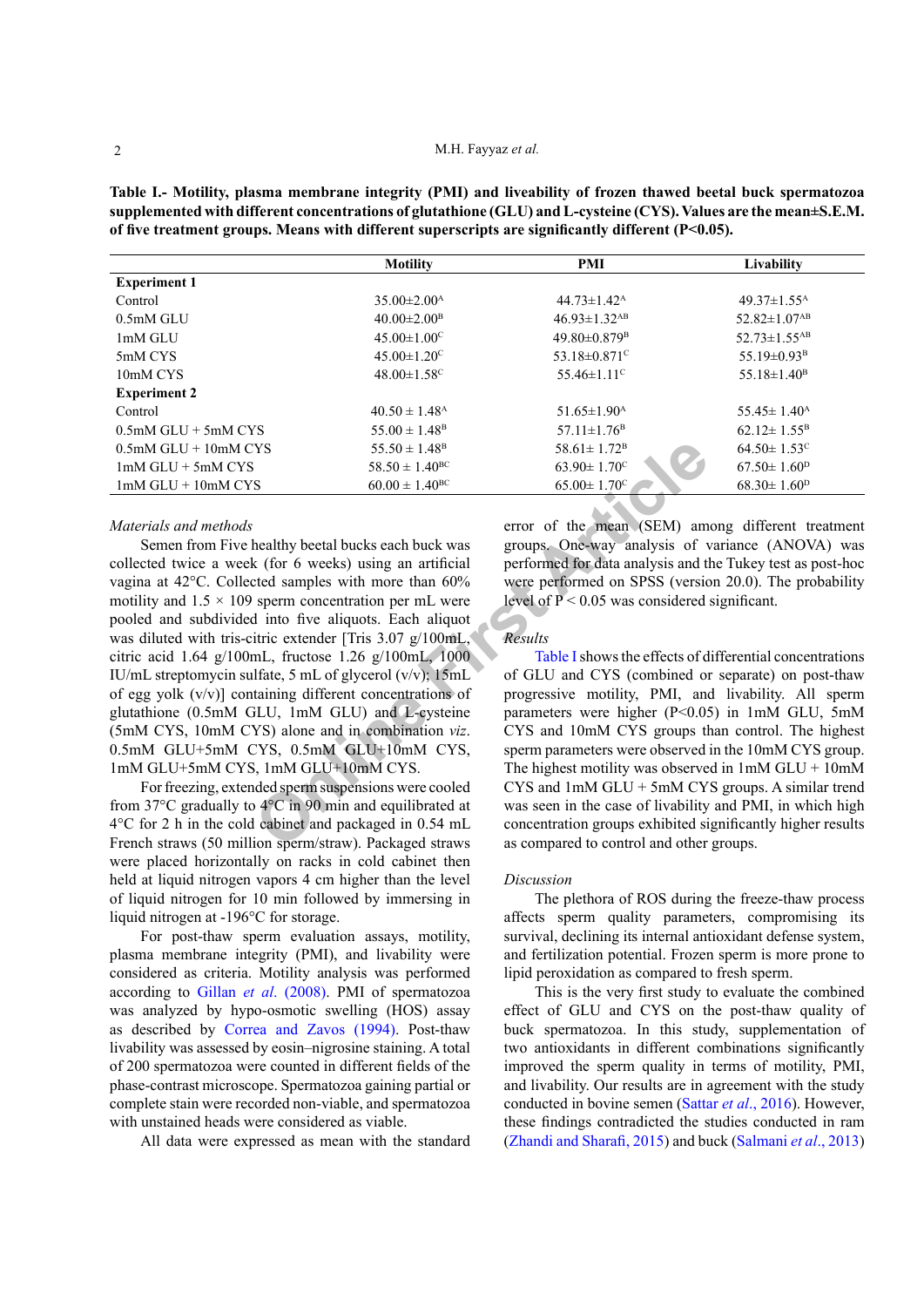<span id="page-1-0"></span>**Table I.- Motility, plasma membrane integrity (PMI) and liveability of frozen thawed beetal buck spermatozoa supplemented with different concentrations of glutathione (GLU) and L-cysteine (CYS). Values are the mean±S.E.M. of five treatment groups. Means with different superscripts are significantly different (P<0.05).**

| <b>Motility</b>               | PMI                            | Livability                     |
|-------------------------------|--------------------------------|--------------------------------|
|                               |                                |                                |
| $35.00 \pm 2.00^{\text{A}}$   | $44.73 \pm 1.42^{\text{A}}$    | $49.37 \pm 1.55$ <sup>A</sup>  |
| $40.00 \pm 2.00^{\mathrm{B}}$ | $46.93 \pm 1.32$ <sup>AB</sup> | $52.82 \pm 1.07$ <sup>AB</sup> |
| $45.00 \pm 1.00^{\circ}$      | $49.80\pm0.879^{\mathrm{B}}$   | $52.73 \pm 1.55$ <sup>AB</sup> |
| $45.00 \pm 1.20$ <sup>C</sup> | 53.18 $\pm$ 0.871 <sup>c</sup> | 55.19 $\pm$ 0.93 <sup>B</sup>  |
| $48.00 \pm 1.58$ <sup>C</sup> | $55.46 \pm 1.11$ <sup>c</sup>  | $55.18 \pm 1.40^{\rm B}$       |
|                               |                                |                                |
| $40.50 \pm 1.48$ <sup>A</sup> | $51.65 \pm 1.90^{\text{A}}$    | $55.45 \pm 1.40^{\text{A}}$    |
| $55.00 \pm 1.48$ <sup>B</sup> | $57.11 \pm 1.76$ <sup>B</sup>  | $62.12 \pm 1.55^{\rm B}$       |
| $55.50 \pm 1.48$ <sup>B</sup> | $58.61 \pm 1.72$ <sup>B</sup>  | $64.50 \pm 1.53$ <sup>c</sup>  |
| $58.50 \pm 1.40^{\rm BC}$     | $63.90 \pm 1.70$ <sup>c</sup>  | $67.50 \pm 1.60^{\mathrm{D}}$  |
| $60.00 \pm 1.40^{\rm BC}$     | $65.00 \pm 1.70$ <sup>c</sup>  | $68.30 \pm 1.60^{\mathrm{D}}$  |
|                               |                                |                                |

### *Materials and methods*

**EXAMPLE ART SET ART SET ART SET AN ONCE SET AND CIVE ART SUPPOSED AND SET ART SET ART SET ART SET ART SET ART SET ART SET ART SET ART SET ART SET ART SET ART SET ART SET ART SET ART SET ART SET ART SET ART SET ART SET AR** Semen from Five healthy beetal bucks each buck was collected twice a week (for 6 weeks) using an artificial vagina at 42°C. Collected samples with more than 60% motility and  $1.5 \times 109$  sperm concentration per mL were pooled and subdivided into five aliquots. Each aliquot was diluted with tris-citric extender [Tris 3.07 g/100mL, citric acid 1.64 g/100mL, fructose 1.26 g/100mL, 1000 IU/mL streptomycin sulfate, 5 mL of glycerol (v/v); 15mL of egg yolk (v/v)] containing different concentrations of glutathione (0.5mM GLU, 1mM GLU) and L-cysteine (5mM CYS, 10mM CYS) alone and in combination *viz*. 0.5mM GLU+5mM CYS, 0.5mM GLU+10mM CYS, 1mM GLU+5mM CYS, 1mM GLU+10mM CYS.

For freezing, extended sperm suspensions were cooled from 37°C gradually to 4°C in 90 min and equilibrated at 4°C for 2 h in the cold cabinet and packaged in 0.54 mL French straws (50 million sperm/straw). Packaged straws were placed horizontally on racks in cold cabinet then held at liquid nitrogen vapors 4 cm higher than the level of liquid nitrogen for 10 min followed by immersing in liquid nitrogen at -196°C for storage.

For post-thaw sperm evaluation assays, motility, plasma membrane integrity (PMI), and livability were considered as criteria. Motility analysis was performed according to Gillan *et al*[. \(2008\)](#page-2-15). PMI of spermatozoa was analyzed by hypo-osmotic swelling (HOS) assay as described by [Correa and Zavos \(1994\).](#page-2-16) Post-thaw livability was assessed by eosin–nigrosine staining. A total of 200 spermatozoa were counted in different fields of the phase-contrast microscope. Spermatozoa gaining partial or complete stain were recorded non-viable, and spermatozoa with unstained heads were considered as viable.

All data were expressed as mean with the standard

error of the mean (SEM) among different treatment groups. One-way analysis of variance (ANOVA) was performed for data analysis and the Tukey test as post-hoc were performed on SPSS (version 20.0). The probability level of  $P < 0.05$  was considered significant.

#### *Results*

Table I shows the effects of differential concentrations of GLU and CYS (combined or separate) on post-thaw progressive motility, PMI, and livability. All sperm parameters were higher (P<0.05) in 1mM GLU, 5mM CYS and 10mM CYS groups than control. The highest sperm parameters were observed in the 10mM CYS group. The highest motility was observed in  $1mM GLU + 10mM$ CYS and 1mM GLU + 5mM CYS groups. A similar trend was seen in the case of livability and PMI, in which high concentration groups exhibited significantly higher results as compared to control and other groups.

#### *Discussion*

The plethora of ROS during the freeze-thaw process affects sperm quality parameters, compromising its survival, declining its internal antioxidant defense system, and fertilization potential. Frozen sperm is more prone to lipid peroxidation as compared to fresh sperm.

This is the very first study to evaluate the combined effect of GLU and CYS on the post-thaw quality of buck spermatozoa. In this study, supplementation of two antioxidants in different combinations significantly improved the sperm quality in terms of motility, PMI, and livability. Our results are in agreement with the study conducted in bovine semen (Sattar *et al*[., 2016](#page-2-17)). However, these findings contradicted the studies conducted in ram ([Zhandi and Sharafi, 2015](#page-2-18)) and buck ([Salmani](#page-2-12) *et al*., 2013)